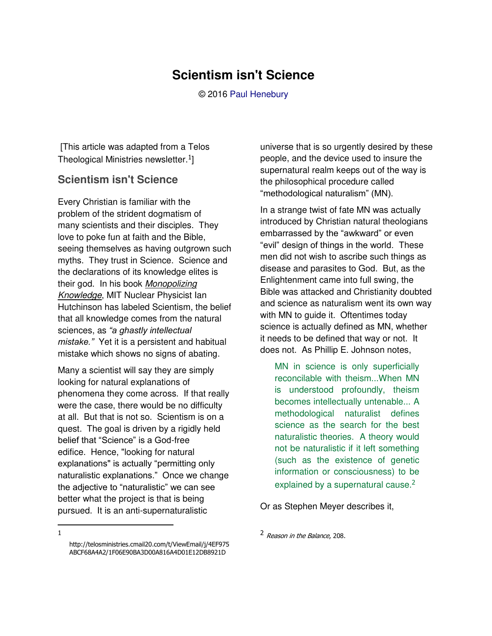## **Scientism isn't Science**

© 2016 [Paul Henebury](http://www.spiritandtruth.org/id/ph.htm) 

 [This article was adapted from a Telos Theological Ministries newsletter. $^{1}$ ]

## **Scientism isn't Science**

Every Christian is familiar with the problem of the strident dogmatism of many scientists and their disciples. They love to poke fun at faith and the Bible, seeing themselves as having outgrown such myths. They trust in Science. Science and the declarations of its knowledge elites is their god. In his book *Monopolizing Knowledge*, MIT Nuclear Physicist Ian Hutchinson has labeled Scientism, the belief that all knowledge comes from the natural sciences, as *"a ghastly intellectual mistake."* Yet it is a persistent and habitual mistake which shows no signs of abating.

Many a scientist will say they are simply looking for natural explanations of phenomena they come across. If that really were the case, there would be no difficulty at all. But that is not so. Scientism is on a quest. The goal is driven by a rigidly held belief that "Science" is a God-free edifice. Hence, "looking for natural explanations" is actually "permitting only naturalistic explanations." Once we change the adjective to "naturalistic" we can see better what the project is that is being pursued. It is an anti-supernaturalistic

universe that is so urgently desired by these people, and the device used to insure the supernatural realm keeps out of the way is the philosophical procedure called "methodological naturalism" (MN).

In a strange twist of fate MN was actually introduced by Christian natural theologians embarrassed by the "awkward" or even "evil" design of things in the world. These men did not wish to ascribe such things as disease and parasites to God. But, as the Enlightenment came into full swing, the Bible was attacked and Christianity doubted and science as naturalism went its own way with MN to guide it. Oftentimes today science is actually defined as MN, whether it needs to be defined that way or not. It does not. As Phillip E. Johnson notes,

MN in science is only superficially reconcilable with theism...When MN is understood profoundly, theism becomes intellectually untenable... A methodological naturalist defines science as the search for the best naturalistic theories. A theory would not be naturalistic if it left something (such as the existence of genetic information or consciousness) to be explained by a supernatural cause.<sup>2</sup>

Or as Stephen Meyer describes it,

<sup>2</sup> Reason in the Balance, 208.

 $\overline{a}$ 1

[http://telosministries.cmail20.com/t/ViewEmail/j/4EF975](http://telosministries.cmail20.com/t/ViewEmail/j/4EF975ABCF68A4A2/1F06E90BA3D00A816A4D01E12DB8921D) [ABCF68A4A2/1F06E90BA3D00A816A4D01E12DB8921D](http://telosministries.cmail20.com/t/ViewEmail/j/4EF975ABCF68A4A2/1F06E90BA3D00A816A4D01E12DB8921D)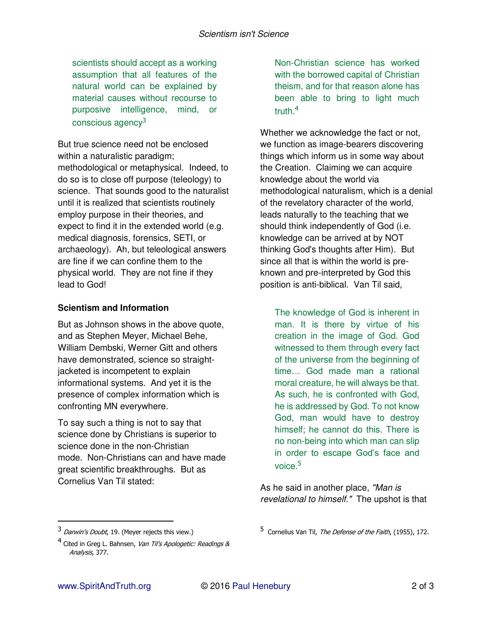scientists should accept as a working assumption that all features of the natural world can be explained by material causes without recourse to purposive intelligence, mind, or conscious agency<sup>3</sup>

But true science need not be enclosed within a naturalistic paradigm; methodological or metaphysical. Indeed, to do so is to close off purpose (teleology) to science. That sounds good to the naturalist until it is realized that scientists routinely employ purpose in their theories, and expect to find it in the extended world (e.g. medical diagnosis, forensics, SETI, or archaeology). Ah, but teleological answers are fine if we can confine them to the physical world. They are not fine if they lead to God!

## **Scientism and Information**

But as Johnson shows in the above quote, and as Stephen Meyer, Michael Behe, William Dembski, Werner Gitt and others have demonstrated, science so straightjacketed is incompetent to explain informational systems. And yet it is the presence of complex information which is confronting MN everywhere.

To say such a thing is not to say that science done by Christians is superior to science done in the non-Christian mode. Non-Christians can and have made great scientific breakthroughs. But as Cornelius Van Til stated:

Non-Christian science has worked with the borrowed capital of Christian theism, and for that reason alone has been able to bring to light much truth.<sup>4</sup>

Whether we acknowledge the fact or not, we function as image-bearers discovering things which inform us in some way about the Creation. Claiming we can acquire knowledge about the world via methodological naturalism, which is a denial of the revelatory character of the world, leads naturally to the teaching that we should think independently of God (i.e. knowledge can be arrived at by NOT thinking God's thoughts after Him). But since all that is within the world is preknown and pre-interpreted by God this position is anti-biblical. Van Til said,

The knowledge of God is inherent in man. It is there by virtue of his creation in the image of God. God witnessed to them through every fact of the universe from the beginning of time… God made man a rational moral creature, he will always be that. As such, he is confronted with God, he is addressed by God. To not know God, man would have to destroy himself; he cannot do this. There is no non-being into which man can slip in order to escape God's face and voice.<sup>5</sup>

As he said in another place, *"Man is revelational to himself."* The upshot is that

 $\overline{a}$ 

<sup>3</sup> Darwin's Doubt, 19. (Meyer rejects this view.)

<sup>&</sup>lt;sup>4</sup> Cited in Greg L. Bahnsen, *Van Til's Apologetic: Readings &* Analysis, 377.

<sup>5</sup> Cornelius Van Til, *The Defense of the Faith*, (1955), 172.